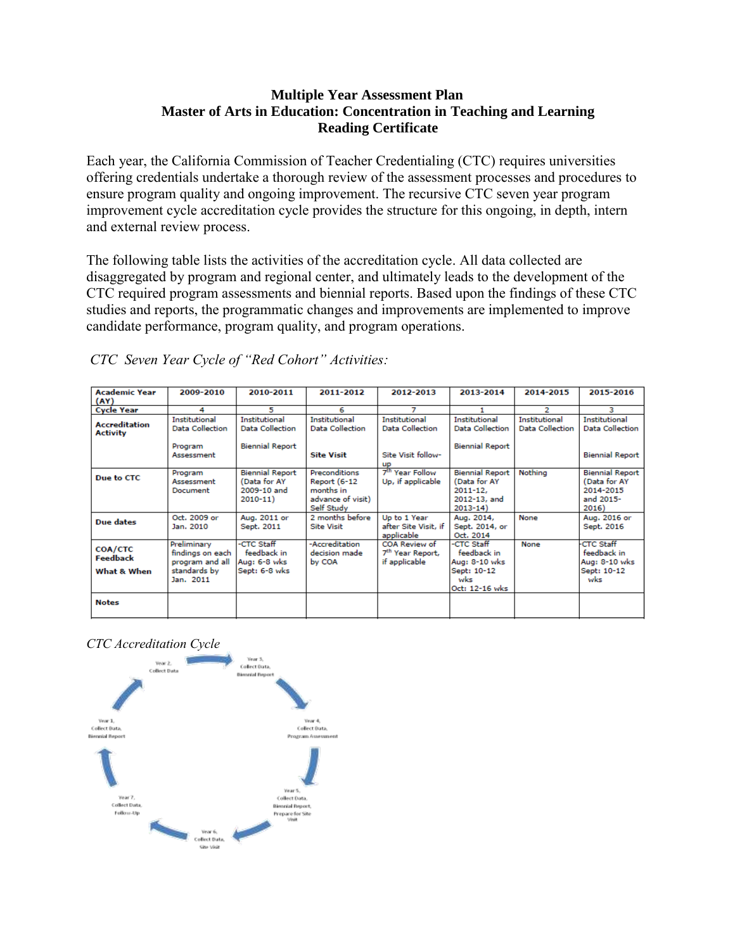#### **Multiple Year Assessment Plan Master of Arts in Education: Concentration in Teaching and Learning Reading Certificate**

Each year, the California Commission of Teacher Credentialing (CTC) requires universities offering credentials undertake a thorough review of the assessment processes and procedures to ensure program quality and ongoing improvement. The recursive CTC seven year program improvement cycle accreditation cycle provides the structure for this ongoing, in depth, intern and external review process.

The following table lists the activities of the accreditation cycle. All data collected are disaggregated by program and regional center, and ultimately leads to the development of the CTC required program assessments and biennial reports. Based upon the findings of these CTC studies and reports, the programmatic changes and improvements are implemented to improve candidate performance, program quality, and program operations.

| <b>Academic Year</b><br>(AY)              | 2009-2010                                                                       | 2010-2011                                                            | 2011-2012                                                                            | 2012-2013                                                      | 2013-2014                                                                             | 2014-2015                               | 2015-2016                                                                 |
|-------------------------------------------|---------------------------------------------------------------------------------|----------------------------------------------------------------------|--------------------------------------------------------------------------------------|----------------------------------------------------------------|---------------------------------------------------------------------------------------|-----------------------------------------|---------------------------------------------------------------------------|
| <b>Cycle Year</b>                         | 4                                                                               | 5                                                                    | 6                                                                                    | 7                                                              |                                                                                       | 2                                       | з                                                                         |
| <b>Accreditation</b><br>Activity          | Institutional<br>Data Collection                                                | Institutional<br><b>Data Collection</b>                              | Institutional<br><b>Data Collection</b>                                              | Institutional<br><b>Data Collection</b>                        | Institutional<br>Data Collection                                                      | Institutional<br><b>Data Collection</b> | Institutional<br><b>Data Collection</b>                                   |
|                                           | Program<br>Assessment                                                           | <b>Biennial Report</b>                                               | <b>Site Visit</b>                                                                    | Site Visit follow-<br><b>up</b>                                | <b>Biennial Report</b>                                                                |                                         | <b>Biennial Report</b>                                                    |
| Due to CTC                                | Program<br>Assessment<br>Document                                               | <b>Biennial Report</b><br>(Data for AY<br>2009-10 and<br>$2010 - 11$ | Preconditions<br><b>Report (6-12</b><br>months in<br>advance of visit)<br>Self Study | 7 <sup>th</sup> Year Follow<br>Up, if applicable               | <b>Biennial Report</b><br>(Data for AY<br>$2011 - 12.$<br>2012-13, and<br>$2013 - 14$ | Nothing                                 | <b>Biennial Report</b><br>(Data for AY<br>2014-2015<br>and 2015-<br>2016) |
| Due dates                                 | Oct. 2009 or<br>Jan. 2010                                                       | Aug. 2011 or<br>Sept. 2011                                           | 2 months before<br><b>Site Visit</b>                                                 | Up to 1 Year<br>after Site Visit, if<br>applicable             | Aug. 2014,<br>Sept. 2014, or<br>Oct. 2014                                             | None                                    | Aug. 2016 or<br>Sept. 2016                                                |
| <b>COA/CTC</b><br>Feedback<br>What & When | Preliminary<br>findings on each<br>program and all<br>standards by<br>Jan. 2011 | -CTC Staff<br>feedback in<br>Aug: 6-8 wks<br>Sept: 6-8 wks           | -Accreditation<br>decision made<br>by COA                                            | COA Review of<br>7 <sup>th</sup> Year Report,<br>if applicable | -CTC Staff<br>feedback in<br>Aug: 8-10 wks<br>Sept: 10-12<br>wks<br>Oct: 12-16 wks    | None                                    | <b>CTC Staff</b><br>feedback in<br>Aug: 8-10 wks<br>Sept: 10-12<br>wks    |
| <b>Notes</b>                              |                                                                                 |                                                                      |                                                                                      |                                                                |                                                                                       |                                         |                                                                           |

*CTC Seven Year Cycle of "Red Cohort" Activities:*

*CTC Accreditation Cycle*

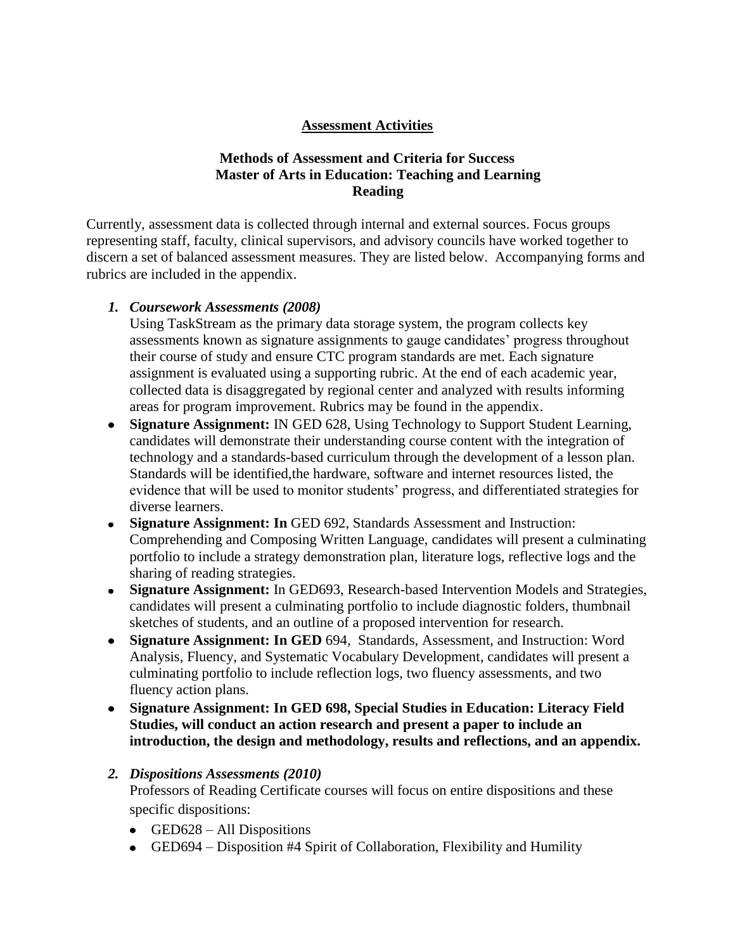## **Assessment Activities**

## **Methods of Assessment and Criteria for Success Master of Arts in Education: Teaching and Learning Reading**

Currently, assessment data is collected through internal and external sources. Focus groups representing staff, faculty, clinical supervisors, and advisory councils have worked together to discern a set of balanced assessment measures. They are listed below. Accompanying forms and rubrics are included in the appendix.

#### *1. Coursework Assessments (2008)*

Using TaskStream as the primary data storage system, the program collects key assessments known as signature assignments to gauge candidates' progress throughout their course of study and ensure CTC program standards are met. Each signature assignment is evaluated using a supporting rubric. At the end of each academic year, collected data is disaggregated by regional center and analyzed with results informing areas for program improvement. Rubrics may be found in the appendix.

- **Signature Assignment:** IN GED 628, Using Technology to Support Student Learning, candidates will demonstrate their understanding course content with the integration of technology and a standards-based curriculum through the development of a lesson plan. Standards will be identified,the hardware, software and internet resources listed, the evidence that will be used to monitor students' progress, and differentiated strategies for diverse learners.
- **Signature Assignment: In** GED 692, Standards Assessment and Instruction: Comprehending and Composing Written Language, candidates will present a culminating portfolio to include a strategy demonstration plan, literature logs, reflective logs and the sharing of reading strategies.
- **Signature Assignment:** In GED693, Research-based Intervention Models and Strategies, candidates will present a culminating portfolio to include diagnostic folders, thumbnail sketches of students, and an outline of a proposed intervention for research.
- **Signature Assignment: In GED** 694, Standards, Assessment, and Instruction: Word Analysis, Fluency, and Systematic Vocabulary Development, candidates will present a culminating portfolio to include reflection logs, two fluency assessments, and two fluency action plans.
- **Signature Assignment: In GED 698, Special Studies in Education: Literacy Field Studies, will conduct an action research and present a paper to include an introduction, the design and methodology, results and reflections, and an appendix.**

## *2. Dispositions Assessments (2010)*

Professors of Reading Certificate courses will focus on entire dispositions and these specific dispositions:

- $\bullet$  GED628 All Dispositions
- GED694 Disposition #4 Spirit of Collaboration, Flexibility and Humility